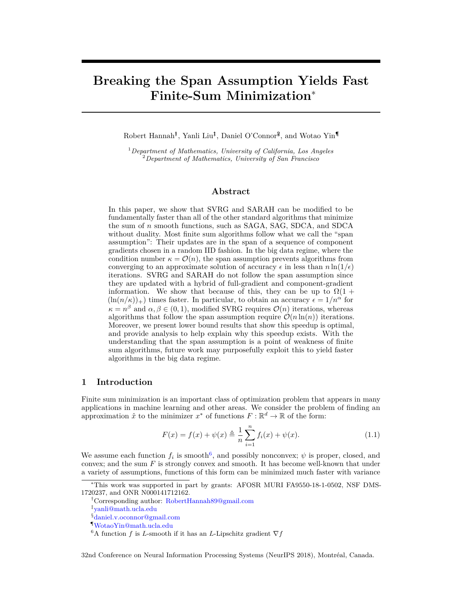# **Breaking the Span Assumption Yields Fast Finite-Sum Minimization**<sup>∗</sup>

Robert Hannah<sup>‡</sup>, Yanli Liu<sup>‡</sup>, Daniel O'Connor<sup>§</sup>, and Wotao Yin<sup>¶</sup>

<sup>1</sup>*Department of Mathematics, University of California, Los Angeles* <sup>2</sup>*Department of Mathematics, University of San Francisco*

### **Abstract**

In this paper, we show that SVRG and SARAH can be modified to be fundamentally faster than all of the other standard algorithms that minimize the sum of *n* smooth functions, such as SAGA, SAG, SDCA, and SDCA without duality. Most finite sum algorithms follow what we call the "span assumption": Their updates are in the span of a sequence of component gradients chosen in a random IID fashion. In the big data regime, where the condition number  $\kappa = \mathcal{O}(n)$ , the span assumption prevents algorithms from converging to an approximate solution of accuracy  $\epsilon$  in less than  $n \ln(1/\epsilon)$ iterations. SVRG and SARAH do not follow the span assumption since they are updated with a hybrid of full-gradient and component-gradient information. We show that because of this, they can be up to  $\Omega(1 +$  $(\ln(n/\kappa))_+$ ) times faster. In particular, to obtain an accuracy  $\epsilon = 1/n^{\alpha}$  for  $\kappa = n^{\beta}$  and  $\alpha, \beta \in (0, 1)$ , modified SVRG requires  $\mathcal{O}(n)$  iterations, whereas algorithms that follow the span assumption require  $\mathcal{O}(n \ln(n))$  iterations. Moreover, we present lower bound results that show this speedup is optimal, and provide analysis to help explain why this speedup exists. With the understanding that the span assumption is a point of weakness of finite sum algorithms, future work may purposefully exploit this to yield faster algorithms in the big data regime.

#### **1 Introduction**

Finite sum minimization is an important class of optimization problem that appears in many applications in machine learning and other areas. We consider the problem of finding an approximation  $\hat{x}$  to the minimizer  $x^*$  of functions  $F: \mathbb{R}^d \to \mathbb{R}$  of the form:

$$
F(x) = f(x) + \psi(x) \triangleq \frac{1}{n} \sum_{i=1}^{n} f_i(x) + \psi(x).
$$
 (1.1)

We assume each function  $f_i$  is smooth<sup>6</sup>, and possibly nonconvex;  $\psi$  is proper, closed, and convex; and the sum *F* is strongly convex and smooth. It has become well-known that under a variety of assumptions, functions of this form can be minimized much faster with variance

‡ [yanli@math.ucla.edu](mailto:yanli@math.ucla.edu)

32nd Conference on Neural Information Processing Systems (NeurIPS 2018), Montréal, Canada.

<sup>∗</sup>This work was supported in part by grants: AFOSR MURI FA9550-18-1-0502, NSF DMS-1720237, and ONR N000141712162.

<sup>†</sup>Corresponding author: [RobertHannah89@gmail.com](mailto:RobertHannah89@gmail.com)

<sup>§</sup>[daniel.v.oconnor@gmail.com](mailto:daniel.v.oconnor@gmail.com)

<sup>¶</sup>[WotaoYin@math.ucla.edu](mailto:WotaoYin@math.ucla.edu)

<sup>&</sup>lt;sup>6</sup>A function *f* is *L*-smooth if it has an *L*-Lipschitz gradient  $\nabla f$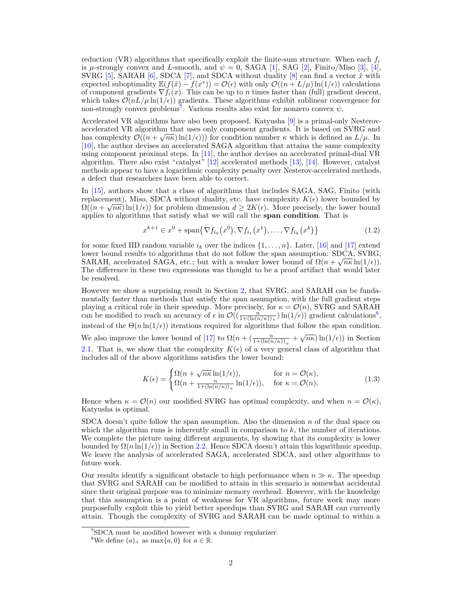reduction (VR) algorithms that specifically exploit the finite-sum structure. When each *f<sup>i</sup>* is  $\mu$ -strongly convex and *L*-smooth, and  $\psi = 0$ , SAGA [1], SAG [2], Finito/Miso [3], [4], SVRG [5], SARAH [6], SDCA [7], and SDCA without duality [8] can find a vector  $\hat{x}$  with expected suboptimality  $\mathbb{E}(f(\hat{x}) - f(x^*)) = \mathcal{O}(\epsilon)$  with only  $\mathcal{O}((n + L/\mu) \ln(1/\epsilon))$  calculations of component gradients  $\nabla f_i(x)$ . This can be up to *n* times faster than (full) gradient descent, which takes  $\mathcal{O}(nL/\mu \ln(1/\epsilon))$  gradients. These algorithms exhibit sublinear convergence for non-strongly convex problems<sup>7</sup>. Various results also exist for nonzero convex  $\psi$ .

Accelerated VR algorithms have also been proposed. Katyusha [9] is a primal-only Nesterovaccelerated VR algorithm that uses only component gradients. It is based on SVRG and has complexity  $\mathcal{O}((n + \sqrt{n\kappa})\ln(1/\epsilon))$  for condition number  $\kappa$  which is defined as  $L/\mu$ . In [10], the author devises an accelerated SAGA algorithm that attains the same complexity using component proximal steps. In [11], the author devises an accelerated primal-dual VR algorithm. There also exist "catalyst"  $[12]$  accelerated methods [13], [14]. However, catalyst methods appear to have a logarithmic complexity penalty over Nesterov-accelerated methods, a defect that researchers have been able to correct.

In [15], authors show that a class of algorithms that includes SAGA, SAG, Finito (with replacement), Miso, SDCA without duality, etc. have complexity  $K(\epsilon)$  lower bounded by  $\Omega((n+\sqrt{n\kappa})\ln(1/\epsilon))$  for problem dimension  $d\geq 2K(\epsilon)$ . More precisely, the lower bound applies to algorithms that satisfy what we will call the **span condition**. That is

$$
x^{k+1} \in x^0 + \text{span}\{\nabla f_{i_0}(x^0), \nabla f_{i_1}(x^1), \dots, \nabla f_{i_k}(x^k)\}\
$$
 (1.2)

for some fixed IID random variable  $i_k$  over the indices  $\{1,\ldots,n\}$ . Later, [16] and [17] extend lower bound results to algorithms that do not follow the span assumption:  $SDCA$ ,  $SVRG$ , SARAH, accelerated SAGA, etc.; but with a weaker lower bound of  $\Omega(n + \sqrt{n\kappa} \ln(1/\epsilon))$ . The difference in these two expressions was thought to be a proof artifact that would later be resolved.

However we show a surprising result in Section 2, that SVRG, and SARAH can be fundamentally faster than methods that satisfy the span assumption, with the full gradient steps playing a critical role in their speedup. More precisely, for  $\kappa = \mathcal{O}(n)$ , SVRG and SARAH can be modified to reach an accuracy of  $\epsilon$  in  $\mathcal{O}((\frac{n}{1+(\ln(n/\kappa))_+})\ln(1/\epsilon))$  gradient calculations<sup>8</sup>, instead of the  $\Theta(n \ln(1/\epsilon))$  iterations required for algorithms that follow the span condition. We also improve the lower bound of [17] to  $\Omega(n + (\frac{n}{1 + (\ln(n/\kappa))_+} + \sqrt{n\kappa})\ln(1/\epsilon))$  in Section √ 2.1. That is, we show that the complexity  $K(\epsilon)$  of a very general class of algorithm that includes all of the above algorithms satisfies the lower bound:

$$
K(\epsilon) = \begin{cases} \Omega(n + \sqrt{n\kappa} \ln(1/\epsilon)), & \text{for } n = \mathcal{O}(\kappa), \\ \Omega(n + \frac{n}{1 + (\ln(n/\kappa))_{+}} \ln(1/\epsilon)), & \text{for } \kappa = \mathcal{O}(n). \end{cases}
$$
(1.3)

Hence when  $\kappa = \mathcal{O}(n)$  our modified SVRG has optimal complexity, and when  $n = \mathcal{O}(\kappa)$ , Katyusha is optimal.

SDCA doesn't quite follow the span assumption. Also the dimension *n* of the dual space on which the algorithm runs is inherently small in comparison to *k*, the number of iterations. We complete the picture using different arguments, by showing that its complexity is lower bounded by  $\Omega(n \ln(1/\epsilon))$  in Section 2.2. Hence SDCA doesn't attain this logarithmic speedup. We leave the analysis of accelerated SAGA, accelerated SDCA, and other algorithms to future work.

Our results identify a significant obstacle to high performance when  $n \gg \kappa$ . The speedup that SVRG and SARAH can be modified to attain in this scenario is somewhat accidental since their original purpose was to minimize memory overhead. However, with the knowledge that this assumption is a point of weakness for VR algorithms, future work may more purposefully exploit this to yield better speedups than SVRG and SARAH can currently attain. Though the complexity of SVRG and SARAH can be made optimal to within a

<sup>7</sup>SDCA must be modified however with a dummy regularizer.

<sup>&</sup>lt;sup>8</sup>We define  $(a)_+$  as max $\{a, 0\}$  for  $a \in \mathbb{R}$ .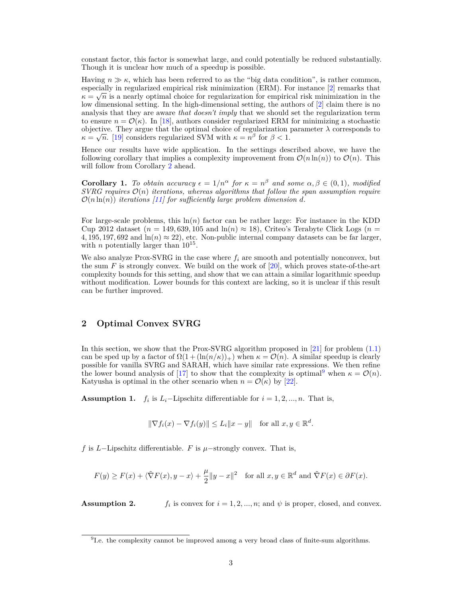constant factor, this factor is somewhat large, and could potentially be reduced substantially. Though it is unclear how much of a speedup is possible.

Having  $n \gg \kappa$ , which has been referred to as the "big data condition", is rather common, especially in regularized empirical risk minimization (ERM). For instance  $[2]$  remarks that  $\kappa = \sqrt{n}$  is a nearly optimal choice for regularization for empirical risk minimization in the low dimensional setting. In the high-dimensional setting, the authors of [2] claim there is no analysis that they are aware *that doesn't imply* that we should set the regularization term to ensure  $n = \mathcal{O}(\kappa)$ . In [18], authors consider regularized ERM for minimizing a stochastic objective. They argue that the optimal choice of regularization parameter  $\lambda$  corresponds to  $\kappa = \sqrt{n}$ . [19] considers regularized SVM with  $\kappa = n^{\beta}$  for  $\beta < 1$ .

Hence our results have wide application. In the settings described above, we have the following corollary that implies a complexity improvement from  $\mathcal{O}(n \ln(n))$  to  $\mathcal{O}(n)$ . This will follow from Corollary 2 ahead.

**Corollary 1.** To obtain accuracy  $\epsilon = 1/n^{\alpha}$  for  $\kappa = n^{\beta}$  and some  $\alpha, \beta \in (0,1)$ *, modified*  $SVRG$  requires  $\mathcal{O}(n)$  *iterations, whereas algorithms that follow the span assumption require*  $\mathcal{O}(n \ln(n))$  *iterations* [11] for sufficiently large problem dimension d.

For large-scale problems, this ln(*n*) factor can be rather large: For instance in the KDD Cup 2012 dataset ( $n = 149,639,105$  and  $\ln(n) \approx 18$ ), Criteo's Terabyte Click Logs ( $n =$ 4, 195, 197, 692 and  $\ln(n) \approx 22$ , etc. Non-public internal company datasets can be far larger, with *n* potentially larger than  $10^{15}$ .

We also analyze Prox-SVRG in the case where  $f_i$  are smooth and potentially nonconvex, but the sum  $F$  is strongly convex. We build on the work of  $[20]$ , which proves state-of-the-art complexity bounds for this setting, and show that we can attain a similar logarithmic speedup without modification. Lower bounds for this context are lacking, so it is unclear if this result can be further improved.

## **2 Optimal Convex SVRG**

In this section, we show that the Prox-SVRG algorithm proposed in [21] for problem (1.1) can be sped up by a factor of  $\Omega(1 + (\ln(n/\kappa))_+)$  when  $\kappa = \mathcal{O}(n)$ . A similar speedup is clearly possible for vanilla SVRG and SARAH, which have similar rate expressions. We then refine the lower bound analysis of [17] to show that the complexity is optimal<sup>9</sup> when  $\kappa = \mathcal{O}(n)$ . Katyusha is optimal in the other scenario when  $n = \mathcal{O}(\kappa)$  by [22].

**Assumption 1.** *f<sub>i</sub>* is  $L_i$ −Lipschitz differentiable for  $i = 1, 2, ..., n$ . That is,

$$
\|\nabla f_i(x) - \nabla f_i(y)\| \le L_i \|x - y\| \quad \text{for all } x, y \in \mathbb{R}^d.
$$

*f* is *L*−Lipschitz differentiable. *F* is *µ*−strongly convex. That is,

$$
F(y) \ge F(x) + \langle \tilde{\nabla} F(x), y - x \rangle + \frac{\mu}{2} \|y - x\|^2 \quad \text{for all } x, y \in \mathbb{R}^d \text{ and } \tilde{\nabla} F(x) \in \partial F(x).
$$

**Assumption 2.** *f<sup>i</sup>*  $f_i$  is convex for  $i = 1, 2, ..., n$ ; and  $\psi$  is proper, closed, and convex.

<sup>&</sup>lt;sup>9</sup>I.e. the complexity cannot be improved among a very broad class of finite-sum algorithms.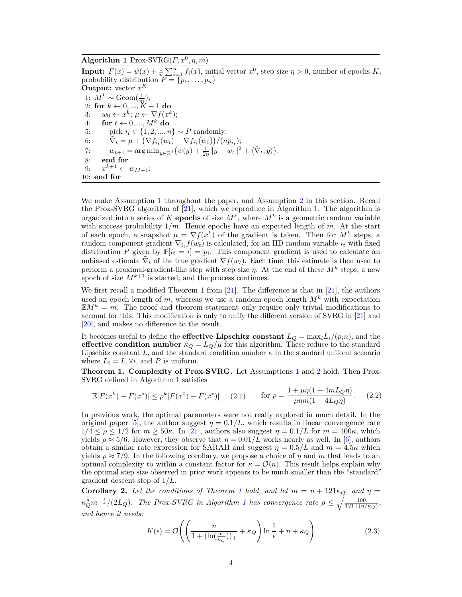## **Algorithm 1** Prox-SVRG( $F, x^0, \eta, m$ )

**Input:**  $F(x) = \psi(x) + \frac{1}{n} \sum_{i=1}^{n} f_i(x)$ , initial vector  $x^0$ , step size  $\eta > 0$ , number of epochs *K*, probability distribution  $P = \{p_1, \ldots, p_n\}$ **Output:** vector  $x^K$ 1:  $M^k \sim \text{Geom}(\frac{1}{m});$ 2: **for** *k* ← 0*, ..., K* − 1 **do** 3:  $w_0 \leftarrow x^k; \mu \leftarrow \nabla f(x^k);$ 4: **for**  $t \leftarrow 0, ..., M^k$  **do** 5: pick  $i_t \in \{1, 2, ..., n\} \sim P$  randomly; 6:  $\tilde{\nabla}_t = \mu + \left( \nabla f_{i_t}(w_t) - \nabla f_{i_t}(w_0) \right) / (n p_{i_t});$ 7:  $w_{t+1} = \arg \min_{y \in \mathbb{R}^d} {\{\psi(y) + \frac{1}{2\eta} ||y - w_t||^2 + \langle \tilde{\nabla}_t, y \rangle\}};$ 8: **end for** 9:  $x^{k+1} \leftarrow w_{M+1};$ 10: **end for**

We make Assumption 1 throughout the paper, and Assumption 2 in this section. Recall the Prox-SVRG algorithm of [21], which we reproduce in Algorithm 1. The algorithm is organized into a series of *K* **epochs** of size  $M^k$ , where  $M^k$  is a geometric random variable with success probability 1*/m*. Hence epochs have an expected length of *m*. At the start of each epoch, a snapshot  $\mu = \nabla f(x^k)$  of the gradient is taken. Then for  $M^k$  steps, a random component gradient  $\nabla_{i_t} f(w_t)$  is calculated, for an IID random variable  $i_t$  with fixed distribution *P* given by  $\mathbb{P}[i_t = i] = p_i$ . This component gradient is used to calculate an unbiased estimate  $\tilde{\nabla}_t$  of the true gradient  $\nabla f(w_t)$ . Each time, this estimate is then used to perform a proximal-gradient-like step with step size  $\eta$ . At the end of these  $M^k$  steps, a new epoch of size  $M^{k+1}$  is started, and the process continues.

We first recall a modified Theorem 1 from [21]. The difference is that in [21], the authors used an epoch length of  $m$ , whereas we use a random epoch length  $M^k$  with expectation  $EM^k = m$ . The proof and theorem statement only require only trivial modifications to account for this. This modification is only to unify the different version of SVRG in [21] and [20], and makes no difference to the result.

It becomes useful to define the **effective Lipschitz constant**  $L_Q = \max_i L_i/(p_i n)$ , and the **effective condition number**  $\kappa_Q = L_Q/\mu$  for this algorithm. These reduce to the standard Lipschitz constant L, and the standard condition number  $\kappa$  in the standard uniform scenario where  $L_i = L, \forall i$ , and P is uniform.

**Theorem 1. Complexity of Prox-SVRG.** Let Assumptions 1 and 2 hold. Then Prox-SVRG defined in Algorithm 1 satisfies

$$
\mathbb{E}[F(x^k) - F(x^*)] \le \rho^k [F(x^0) - F(x^*)] \quad (2.1) \quad \text{for } \rho = \frac{1 + \mu \eta (1 + 4mL_Q \eta)}{\mu \eta m (1 - 4L_Q \eta)}. \quad (2.2)
$$

In previous work, the optimal parameters were not really explored in much detail. In the original paper [5], the author suggest  $\eta = 0.1/L$ , which results in linear convergence rate  $1/4 \le \rho \le 1/2$  for  $m \ge 50\kappa$ . In [21], authors also suggest  $\eta = 0.1/L$  for  $m = 100\kappa$ , which yields  $\rho \approx 5/6$ . However, they observe that  $\eta = 0.01/L$  works nearly as well. In [6], authors obtain a similar rate expression for SARAH and suggest  $\eta = 0.5/L$  and  $m = 4.5\kappa$  which yields  $\rho \approx 7/9$ . In the following corollary, we propose a choice of  $\eta$  and  $m$  that leads to an optimal complexity to within a constant factor for  $\kappa = \mathcal{O}(n)$ . This result helps explain why the optimal step size observed in prior work appears to be much smaller than the "standard" gradient descent step of 1*/L*.

**Corollary 2.** Let the conditions of Theorem 1 hold, and let  $m = n + 121\kappa_Q$ , and  $\eta =$  $\kappa_Q^{\frac{1}{2}} m^{-\frac{1}{2}} / (2L_Q)$ . The Prox-SVRG in Algorithm 1 has convergence rate  $\rho \leq \sqrt{\frac{100}{121 + (n/\kappa_Q)}}$ , *and hence it needs:*

$$
K(\epsilon) = \mathcal{O}\left( \left( \frac{n}{1 + (\ln(\frac{n}{\kappa_Q}))_+} + \kappa_Q \right) \ln \frac{1}{\epsilon} + n + \kappa_Q \right)
$$
 (2.3)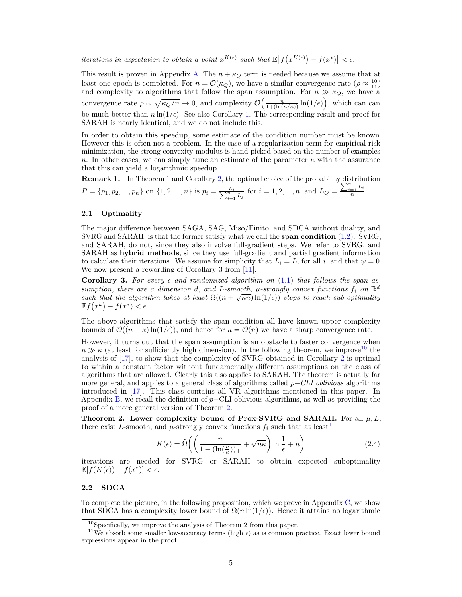*iterations in expectation to obtain a point*  $x^{K(\epsilon)}$  *such that*  $\mathbb{E}[f(x^{K(\epsilon)}) - f(x^*)] < \epsilon$ .

This result is proven in Appendix A. The  $n + \kappa_Q$  term is needed because we assume that at least one epoch is completed. For  $n = \mathcal{O}(\kappa_Q)$ , we have a similar convergence rate  $(\rho \approx \frac{10}{11})$ and complexity to algorithms that follow the span assumption. For  $n \gg \kappa_Q$ , we have a convergence rate  $\rho \sim \sqrt{\kappa_Q/n} \to 0$ , and complexity  $\mathcal{O}\left(\frac{n}{1+ (\ln(n/\kappa))} \ln(1/\epsilon)\right)$ , which can can be much better than  $n \ln(1/\epsilon)$ . See also Corollary 1. The corresponding result and proof for SARAH is nearly identical, and we do not include this.

In order to obtain this speedup, some estimate of the condition number must be known. However this is often not a problem. In the case of a regularization term for empirical risk minimization, the strong convexity modulus is hand-picked based on the number of examples *n*. In other cases, we can simply tune an estimate of the parameter  $\kappa$  with the assurance that this can yield a logarithmic speedup.

**Remark 1.** In Theorem 1 and Corollary 2, the optimal choice of the probability distribution  $P = \{p_1, p_2, ..., p_n\}$  on  $\{1, 2, ..., n\}$  is  $p_i = \frac{L_i}{\sum_{i=1}^n L_i}$  for  $i = 1, 2, ..., n$ , and  $L_Q = \frac{\sum_{i=1}^n L_i}{n}$  $\frac{1}{n}$ .

#### **2.1 Optimality**

The major difference between SAGA, SAG, Miso/Finito, and SDCA without duality, and SVRG and SARAH, is that the former satisfy what we call the **span condition** (1.2). SVRG, and SARAH, do not, since they also involve full-gradient steps. We refer to SVRG, and SARAH as **hybrid methods**, since they use full-gradient and partial gradient information to calculate their iterations. We assume for simplicity that  $L_i = L$ , for all *i*, and that  $\psi = 0$ . We now present a rewording of Corollary 3 from [11].

**Corollary 3.** For every  $\epsilon$  and randomized algorithm on  $(1.1)$  that follows the span as*sumption, there are a dimension d, and L*-smooth,  $\mu$ -strongly convex functions  $f_i$  on  $\mathbb{R}^d$ *such that the algorithm takes at least*  $\Omega((n + \sqrt{\kappa n}) \ln(1/\epsilon))$  *steps to reach sub-optimality*  $\mathbb{E} f(x^k) - f(x^*) < \epsilon$ .

The above algorithms that satisfy the span condition all have known upper complexity bounds of  $\mathcal{O}((n+\kappa)\ln(1/\epsilon))$ , and hence for  $\kappa = \mathcal{O}(n)$  we have a sharp convergence rate.

However, it turns out that the span assumption is an obstacle to faster convergence when  $n \gg \kappa$  (at least for sufficiently high dimension). In the following theorem, we improve<sup>10</sup> the analysis of [17], to show that the complexity of SVRG obtained in Corollary 2 is optimal to within a constant factor without fundamentally different assumptions on the class of algorithms that are allowed. Clearly this also applies to SARAH. The theorem is actually far more general, and applies to a general class of algorithms called *p*−*CLI oblivious* algorithms introduced in [17]. This class contains all VR algorithms mentioned in this paper. In Appendix B, we recall the definition of *p*−CLI oblivious algorithms, as well as providing the proof of a more general version of Theorem 2.

**Theorem 2. Lower complexity bound of Prox-SVRG and SARAH.** For all  $\mu$ ,  $L$ , there exist *L*-smooth, and  $\mu$ -strongly convex functions  $f_i$  such that at least<sup>11</sup>

$$
K(\epsilon) = \tilde{\Omega}\left( \left( \frac{n}{1 + (\ln(\frac{n}{\kappa}))_+} + \sqrt{n\kappa} \right) \ln\frac{1}{\epsilon} + n \right) \tag{2.4}
$$

iterations are needed for SVRG or SARAH to obtain expected suboptimality  $\mathbb{E}[f(K(\epsilon)) - f(x^*)] < \epsilon.$ 

#### **2.2 SDCA**

To complete the picture, in the following proposition, which we prove in Appendix C, we show that SDCA has a complexity lower bound of  $\Omega(n \ln(1/\epsilon))$ . Hence it attains no logarithmic

<sup>&</sup>lt;sup>10</sup>Specifically, we improve the analysis of Theorem 2 from this paper.

<sup>&</sup>lt;sup>11</sup>We absorb some smaller low-accuracy terms (high  $\epsilon$ ) as is common practice. Exact lower bound expressions appear in the proof.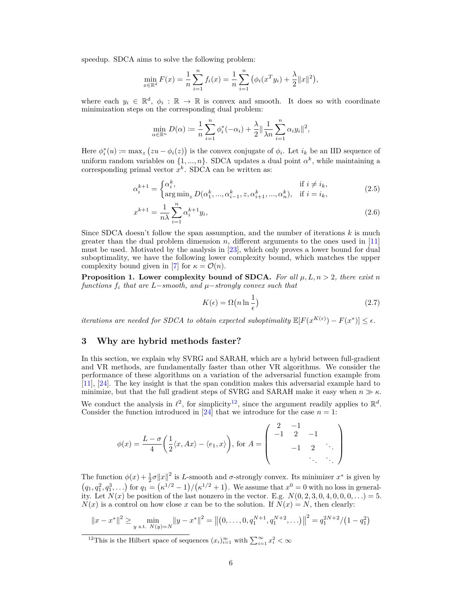speedup. SDCA aims to solve the following problem:

$$
\min_{x \in \mathbb{R}^d} F(x) = \frac{1}{n} \sum_{i=1}^n f_i(x) = \frac{1}{n} \sum_{i=1}^n (\phi_i(x^T y_i) + \frac{\lambda}{2} ||x||^2),
$$

where each  $y_i \in \mathbb{R}^d$ ,  $\phi_i : \mathbb{R} \to \mathbb{R}$  is convex and smooth. It does so with coordinate minimization steps on the corresponding dual problem:

$$
\min_{\alpha \in \mathbb{R}^n} D(\alpha) \coloneqq \frac{1}{n} \sum_{i=1}^n \phi_i^*(-\alpha_i) + \frac{\lambda}{2} \|\frac{1}{\lambda n} \sum_{i=1}^n \alpha_i y_i\|^2,
$$

Here  $\phi_i^*(u) \coloneqq \max_z (zu - \phi_i(z))$  is the convex conjugate of  $\phi_i$ . Let  $i_k$  be an IID sequence of uniform random variables on  $\{1, ..., n\}$ . SDCA updates a dual point  $\alpha^k$ , while maintaining a corresponding primal vector *x k* . SDCA can be written as:

$$
\alpha_i^{k+1} = \begin{cases} \alpha_i^k, & \text{if } i \neq i_k, \\ \arg \min_z D(\alpha_1^k, ..., \alpha_{i-1}^k, z, \alpha_{i+1}^k, ..., \alpha_n^k), & \text{if } i = i_k, \end{cases}
$$
(2.5)

$$
x^{k+1} = \frac{1}{n\lambda} \sum_{i=1}^{n} \alpha_i^{k+1} y_i,
$$
\n(2.6)

Since SDCA doesn't follow the span assumption, and the number of iterations *k* is much greater than the dual problem dimension *n*, different arguments to the ones used in [11] must be used. Motivated by the analysis in [23], which only proves a lower bound for dual suboptimality, we have the following lower complexity bound, which matches the upper complexity bound given in [7] for  $\kappa = \mathcal{O}(n)$ .

**Proposition 1. Lower complexity bound of SDCA.** For all  $\mu$ ,  $L$ ,  $n > 2$ , there exist *n functions f<sup>i</sup> that are L*−*smooth, and µ*−*strongly convex such that*

$$
K(\epsilon) = \Omega\left(n\ln\frac{1}{\epsilon}\right) \tag{2.7}
$$

*iterations are needed for SDCA to obtain expected suboptimality*  $\mathbb{E}[F(x^{K(\epsilon)}) - F(x^*)] \leq \epsilon$ .

## **3 Why are hybrid methods faster?**

In this section, we explain why SVRG and SARAH, which are a hybrid between full-gradient and VR methods, are fundamentally faster than other VR algorithms. We consider the performance of these algorithms on a variation of the adversarial function example from [11], [24]. The key insight is that the span condition makes this adversarial example hard to minimize, but that the full gradient steps of SVRG and SARAH make it easy when  $n \gg \kappa$ .

We conduct the analysis in  $\ell^2$ , for simplicity<sup>12</sup>, since the argument readily applies to  $\mathbb{R}^d$ . Consider the function introduced in [24] that we introduce for the case  $n = 1$ :

$$
\phi(x) = \frac{L - \sigma}{4} \left( \frac{1}{2} \langle x, Ax \rangle - \langle e_1, x \rangle \right), \text{ for } A = \begin{pmatrix} 2 & -1 & & \\ -1 & 2 & -1 & \\ & -1 & 2 & \ddots \\ & & \ddots & \ddots \end{pmatrix}
$$

The function  $\phi(x) + \frac{1}{2}\sigma ||x||^2$  is *L*-smooth and *σ*-strongly convex. Its minimizer  $x^*$  is given by  $(q_1, q_1^2, q_1^3, \ldots)$  for  $q_1 = (\kappa^{1/2} - 1)/(\kappa^{1/2} + 1)$ . We assume that  $x^0 = 0$  with no loss in generality. Let  $N(x)$  be position of the last nonzero in the vector. E.g.  $N(0, 2, 3, 0, 4, 0, 0, 0, ...) = 5$ .  $N(x)$  is a control on how close *x* can be to the solution. If  $N(x) = N$ , then clearly:

$$
||x - x^*||^2 \ge \min_{y \text{ s.t. } N(y) = N} ||y - x^*||^2 = ||(0, \dots, 0, q_1^{N+1}, q_1^{N+2}, \dots)||^2 = q_1^{2N+2} / (1 - q_1^2)
$$

<sup>&</sup>lt;sup>12</sup>This is the Hilbert space of sequences  $(x_i)_{i=1}^{\infty}$  with  $\sum_{i=1}^{\infty} x_i^2 < \infty$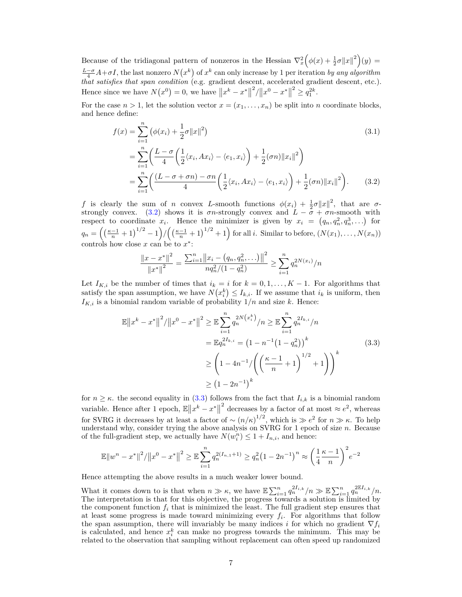Because of the tridiagonal pattern of nonzeros in the Hessian  $\nabla_x^2 (\phi(x) + \frac{1}{2}\sigma ||x||^2)(y) =$  $\frac{L-\sigma}{4}A+\sigma I$ , the last nonzero  $N(x^k)$  of  $x^k$  can only increase by 1 per iteration *by any algorithm that satisfies that span condition* (e.g. gradient descent, accelerated gradient descent, etc.). Hence since we have  $N(x^0) = 0$ , we have  $||x^k - x^*||$  $\frac{2}{x^0}$  /  $||x^0 - x^*||$  $2^{2} \geq q_1^{2k}$ .

For the case  $n > 1$ , let the solution vector  $x = (x_1, \ldots, x_n)$  be split into *n* coordinate blocks, and hence define:

$$
f(x) = \sum_{i=1}^{n} (\phi(x_i) + \frac{1}{2}\sigma ||x||^2)
$$
(3.1)  
= 
$$
\sum_{i=1}^{n} \left( \frac{L - \sigma}{4} \left( \frac{1}{2} \langle x_i, Ax_i \rangle - \langle e_1, x_i \rangle \right) + \frac{1}{2} (\sigma n) ||x_i||^2 \right)
$$
  
= 
$$
\sum_{i=1}^{n} \left( \frac{(L - \sigma + \sigma n) - \sigma n}{4} \left( \frac{1}{2} \langle x_i, Ax_i \rangle - \langle e_1, x_i \rangle \right) + \frac{1}{2} (\sigma n) ||x_i||^2 \right).
$$
(3.2)

*f* is clearly the sum of *n* convex *L*-smooth functions  $\phi(x_i) + \frac{1}{2}\sigma ||x||^2$ , that are  $\sigma$ - $\varphi(x_i) + \frac{1}{2} \varphi(x_i) + \frac{1}{2} \varphi(x_i)$ , that are *d*-<br>strongly convex. (3.2) shows it is *σn*-strongly convex and  $L - \sigma + \sigma n$ -smooth with respect to coordinate  $x_i$ . Hence the minimizer is given by  $x_i = (q_n, q_n^2, q_n^3, \ldots)$  for  $_n, q_n$  $q_n = \left( \left( \frac{\kappa - 1}{n} + 1 \right)^{1/2} - 1 \right) / \left( \left( \frac{\kappa - 1}{n} + 1 \right)^{1/2} + 1 \right)$  for all *i*. Similar to before,  $(N(x_1), \ldots, N(x_n))$ controls how close  $x$  can be to  $x^*$ :

$$
\frac{\|x - x^*\|^2}{\|x^*\|^2} = \frac{\sum_{i=1}^n \|x_i - (q_n, q_n^2, \ldots)\|^2}{nq_n^2/(1-q_n^2)} \ge \sum_{i=1}^n q_n^{2N(x_i)}/n
$$

Let  $I_{K,i}$  be the number of times that  $i_k = i$  for  $k = 0, 1, \ldots, K - 1$ . For algorithms that satisfy the span assumption, we have  $N(x_i^k) \leq I_{k,i}$ . If we assume that  $i_k$  is uniform, then  $I_{K,i}$  is a binomial random variable of probability  $1/n$  and size *k*. Hence:

$$
\mathbb{E} \|x^{k} - x^{*}\|^{2} / \|x^{0} - x^{*}\|^{2} \geq \mathbb{E} \sum_{i=1}^{n} q_{n}^{2N(x_{i}^{k})} / n \geq \mathbb{E} \sum_{i=1}^{n} q_{n}^{2I_{k,i}} / n
$$

$$
= \mathbb{E} q_{n}^{2I_{k,i}} = (1 - n^{-1}(1 - q_{n}^{2}))^{k}
$$

$$
\geq \left(1 - 4n^{-1} / \left(\left(\frac{\kappa - 1}{n} + 1\right)^{1/2} + 1\right)\right)^{k}
$$

$$
\geq (1 - 2n^{-1})^{k}
$$
(3.3)

for  $n \geq \kappa$ . the second equality in (3.3) follows from the fact that  $I_{i,k}$  is a binomial random variable. Hence after 1 epoch,  $\mathbb{E} \|x^k - x^*\|$ <sup>2</sup> decreases by a factor of at most  $\approx e^2$ , whereas for SVRG it decreases by at least a factor of  $\sim (n/\kappa)^{1/2}$ , which is  $\gg e^2$  for  $n \gg \kappa$ . To help understand why, consider trying the above analysis on SVRG for 1 epoch of size *n*. Because of the full-gradient step, we actually have  $N(w_i^n) \leq 1 + I_{n,i}$ , and hence:

$$
\mathbb{E} \|w^{n} - x^{*}\|^{2} / \|x^{0} - x^{*}\|^{2} \ge \mathbb{E} \sum_{i=1}^{n} q_{n}^{2(I_{n,1}+1)} \ge q_{n}^{2} (1 - 2n^{-1})^{n} \approx \left(\frac{1}{4} \frac{\kappa - 1}{n}\right)^{2} e^{-2}
$$

Hence attempting the above results in a much weaker lower bound.

What it comes down to is that when  $n \gg \kappa$ , we have  $\mathbb{E} \sum_{i=1}^n q_n^{2I_{i,k}} / n \gg \mathbb{E} \sum_{i=1}^n q_n^{2\mathbb{E}I_{i,k}} / n$ . The interpretation is that for this objective, the progress towards a solution is limited by the component function  $f_i$  that is minimized the least. The full gradient step ensures that at least some progress is made toward minimizing every *f<sup>i</sup>* . For algorithms that follow the span assumption, there will invariably be many indices *i* for which no gradient  $\nabla f_i$ is calculated, and hence  $x_i^k$  can make no progress towards the minimum. This may be related to the observation that sampling without replacement can often speed up randomized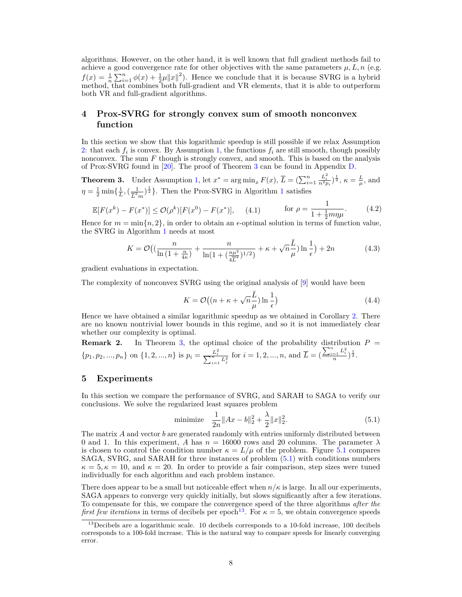algorithms. However, on the other hand, it is well known that full gradient methods fail to achieve a good convergence rate for other objectives with the same parameters  $\mu$ ,  $L$ ,  $n$  (e.g.  $f(x) = \frac{1}{n} \sum_{i=1}^{n} \phi(x) + \frac{1}{2}\mu \|x\|^2$ . Hence we conclude that it is because SVRG is a hybrid method, that combines both full-gradient and VR elements, that it is able to outperform both VR and full-gradient algorithms.

# **4 Prox-SVRG for strongly convex sum of smooth nonconvex function**

In this section we show that this logarithmic speedup is still possible if we relax Assumption 2: that each  $f_i$  is convex. By Assumption 1, the functions  $f_i$  are still smooth, though possibly nonconvex. The sum *F* though is strongly convex, and smooth. This is based on the analysis of Prox-SVRG found in [20]. The proof of Theorem 3 can be found in Appendix D.

**Theorem 3.** Under Assumption 1, let  $x^* = \arg \min_x F(x)$ ,  $\overline{L} = (\sum_{i=1}^n)$  $\frac{L_i^2}{n^2 p_i}$  $\big)$ <sup>†</sup><sub>2</sub>,  $\kappa = \frac{L}{\mu}$ , and  $\eta = \frac{1}{2} \min\{\frac{1}{L},(\frac{1}{\overline{L}^2})\}$  $\frac{1}{L^2 m}$  <sup>1</sup>/<sub>2</sub><sup>3</sup> }. Then the Prox-SVRG in Algorithm 1 satisfies

$$
\mathbb{E}[F(x^k) - F(x^*)] \le \mathcal{O}(\rho^k)[F(x^0) - F(x^*)], \quad (4.1) \quad \text{for } \rho = \frac{1}{1 + \frac{1}{2}m\eta\mu}.\tag{4.2}
$$

Hence for  $m = \min\{n, 2\}$ , in order to obtain an  $\epsilon$ -optimal solution in terms of function value, the SVRG in Algorithm 1 needs at most

$$
K = \mathcal{O}\left( \left( \frac{n}{\ln\left(1 + \frac{n}{4\kappa}\right)} + \frac{n}{\ln(1 + \left(\frac{n\mu^2}{4\overline{L}^2}\right)^{1/2})} + \kappa + \sqrt{n}\frac{\overline{L}}{\mu} \right) \ln\frac{1}{\epsilon} \right) + 2n\tag{4.3}
$$

gradient evaluations in expectation.

The complexity of nonconvex SVRG using the original analysis of [9] would have been

$$
K = \mathcal{O}\left((n + \kappa + \sqrt{n}\frac{\bar{L}}{\mu})\ln\frac{1}{\epsilon}\right)
$$
\n(4.4)

Hence we have obtained a similar logarithmic speedup as we obtained in Corollary 2. There are no known nontrivial lower bounds in this regime, and so it is not immediately clear whether our complexity is optimal.

**Remark 2.** In Theorem 3, the optimal choice of the probability distribution 
$$
P = \{p_1, p_2, ..., p_n\}
$$
 on  $\{1, 2, ..., n\}$  is  $p_i = \frac{L_i^2}{\sum_{i=1}^n L_j^2}$  for  $i = 1, 2, ..., n$ , and  $\overline{L} = (\frac{\sum_{i=1}^n L_i^2}{n})^{\frac{1}{2}}$ .

#### **5 Experiments**

In this section we compare the performance of SVRG, and SARAH to SAGA to verify our conclusions. We solve the regularized least squares problem

minimize 
$$
\frac{1}{2n} \|Ax - b\|_2^2 + \frac{\lambda}{2} \|x\|_2^2.
$$
 (5.1)

The matrix *A* and vector *b* are generated randomly with entries uniformly distributed between 0 and 1. In this experiment, *A* has  $n = 16000$  rows and 20 columns. The parameter  $\lambda$ is chosen to control the condition number  $\kappa = L/\mu$  of the problem. Figure 5.1 compares SAGA, SVRG, and SARAH for three instances of problem (5.1) with conditions numbers  $\kappa = 5, \kappa = 10$ , and  $\kappa = 20$ . In order to provide a fair comparison, step sizes were tuned individually for each algorithm and each problem instance.

There does appear to be a small but noticeable effect when  $n/\kappa$  is large. In all our experiments, SAGA appears to converge very quickly initially, but slows significantly after a few iterations. To compensate for this, we compare the convergence speed of the three algorithms *after the first few iterations* in terms of decibels per epoch<sup>13</sup>. For  $\kappa = 5$ , we obtain convergence speeds

 $^{13}$ Decibels are a logarithmic scale. 10 decibels corresponds to a 10-fold increase, 100 decibels corresponds to a 100-fold increase. This is the natural way to compare speeds for linearly converging error.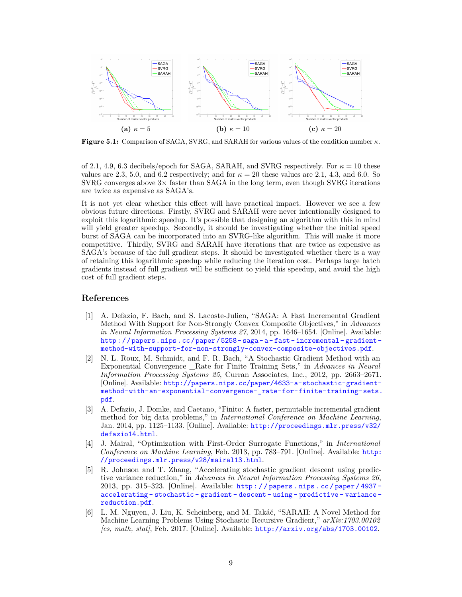

**Figure 5.1:** Comparison of SAGA, SVRG, and SARAH for various values of the condition number *κ*.

of 2.1, 4.9, 6.3 decibels/epoch for SAGA, SARAH, and SVRG respectively. For  $\kappa = 10$  these values are 2.3, 5.0, and 6.2 respectively; and for  $\kappa = 20$  these values are 2.1, 4.3, and 6.0. So  $SVRG$  converges above  $3\times$  faster than SAGA in the long term, even though SVRG iterations are twice as expensive as SAGA's.

It is not yet clear whether this effect will have practical impact. However we see a few obvious future directions. Firstly, SVRG and SARAH were never intentionally designed to exploit this logarithmic speedup. It's possible that designing an algorithm with this in mind will yield greater speedup. Secondly, it should be investigating whether the initial speed burst of SAGA can be incorporated into an SVRG-like algorithm. This will make it more competitive. Thirdly, SVRG and SARAH have iterations that are twice as expensive as SAGA's because of the full gradient steps. It should be investigated whether there is a way of retaining this logarithmic speedup while reducing the iteration cost. Perhaps large batch gradients instead of full gradient will be sufficient to yield this speedup, and avoid the high cost of full gradient steps.

## **References**

- [1] A. Defazio, F. Bach, and S. Lacoste-Julien, "SAGA: A Fast Incremental Gradient Method With Support for Non-Strongly Convex Composite Objectives," in *Advances in Neural Information Processing Systems 27*, 2014, pp. 1646–1654. [Online]. Available: [http : / / papers . nips . cc / paper / 5258 - saga - a - fast - incremental - gradient](http://papers.nips.cc/paper/5258-saga-a-fast-incremental-gradient-method-with-support-for-non-strongly-convex-composite-objectives.pdf)  [method-with-support-for-non-strongly-convex-composite-objectives.pdf](http://papers.nips.cc/paper/5258-saga-a-fast-incremental-gradient-method-with-support-for-non-strongly-convex-composite-objectives.pdf).
- [2] N. L. Roux, M. Schmidt, and F. R. Bach, "A Stochastic Gradient Method with an Exponential Convergence \_Rate for Finite Training Sets," in *Advances in Neural Information Processing Systems 25*, Curran Associates, Inc., 2012, pp. 2663–2671. [Online]. Available: [http://papers.nips.cc/paper/4633-a-stochastic-gradient](http://papers.nips.cc/paper/4633-a-stochastic-gradient-method-with-an-exponential-convergence-_rate-for-finite-training-sets.pdf)[method-with-an-exponential-convergence-\\_rate-for-finite-training-sets.](http://papers.nips.cc/paper/4633-a-stochastic-gradient-method-with-an-exponential-convergence-_rate-for-finite-training-sets.pdf) [pdf](http://papers.nips.cc/paper/4633-a-stochastic-gradient-method-with-an-exponential-convergence-_rate-for-finite-training-sets.pdf).
- [3] A. Defazio, J. Domke, and Caetano, "Finito: A faster, permutable incremental gradient method for big data problems," in *International Conference on Machine Learning*, Jan. 2014, pp. 1125–1133. [Online]. Available: [http://proceedings.mlr.press/v32/](http://proceedings.mlr.press/v32/defazio14.html) [defazio14.html](http://proceedings.mlr.press/v32/defazio14.html).
- [4] J. Mairal, "Optimization with First-Order Surrogate Functions," in *International Conference on Machine Learning*, Feb. 2013, pp. 783–791. [Online]. Available: [http:](http://proceedings.mlr.press/v28/mairal13.html) [//proceedings.mlr.press/v28/mairal13.html](http://proceedings.mlr.press/v28/mairal13.html).
- [5] R. Johnson and T. Zhang, "Accelerating stochastic gradient descent using predictive variance reduction," in *Advances in Neural Information Processing Systems 26*, 2013, pp. 315–323. [Online]. Available: [http : / / papers . nips . cc / paper / 4937](http://papers.nips.cc/paper/4937-accelerating-stochastic-gradient-descent-using-predictive-variance-reduction.pdf)  [accelerating - stochastic - gradient - descent - using - predictive - variance](http://papers.nips.cc/paper/4937-accelerating-stochastic-gradient-descent-using-predictive-variance-reduction.pdf)  [reduction.pdf](http://papers.nips.cc/paper/4937-accelerating-stochastic-gradient-descent-using-predictive-variance-reduction.pdf).
- [6] L. M. Nguyen, J. Liu, K. Scheinberg, and M. Takáč, "SARAH: A Novel Method for Machine Learning Problems Using Stochastic Recursive Gradient," *arXiv:1703.00102 [cs, math, stat]*, Feb. 2017. [Online]. Available: <http://arxiv.org/abs/1703.00102>.